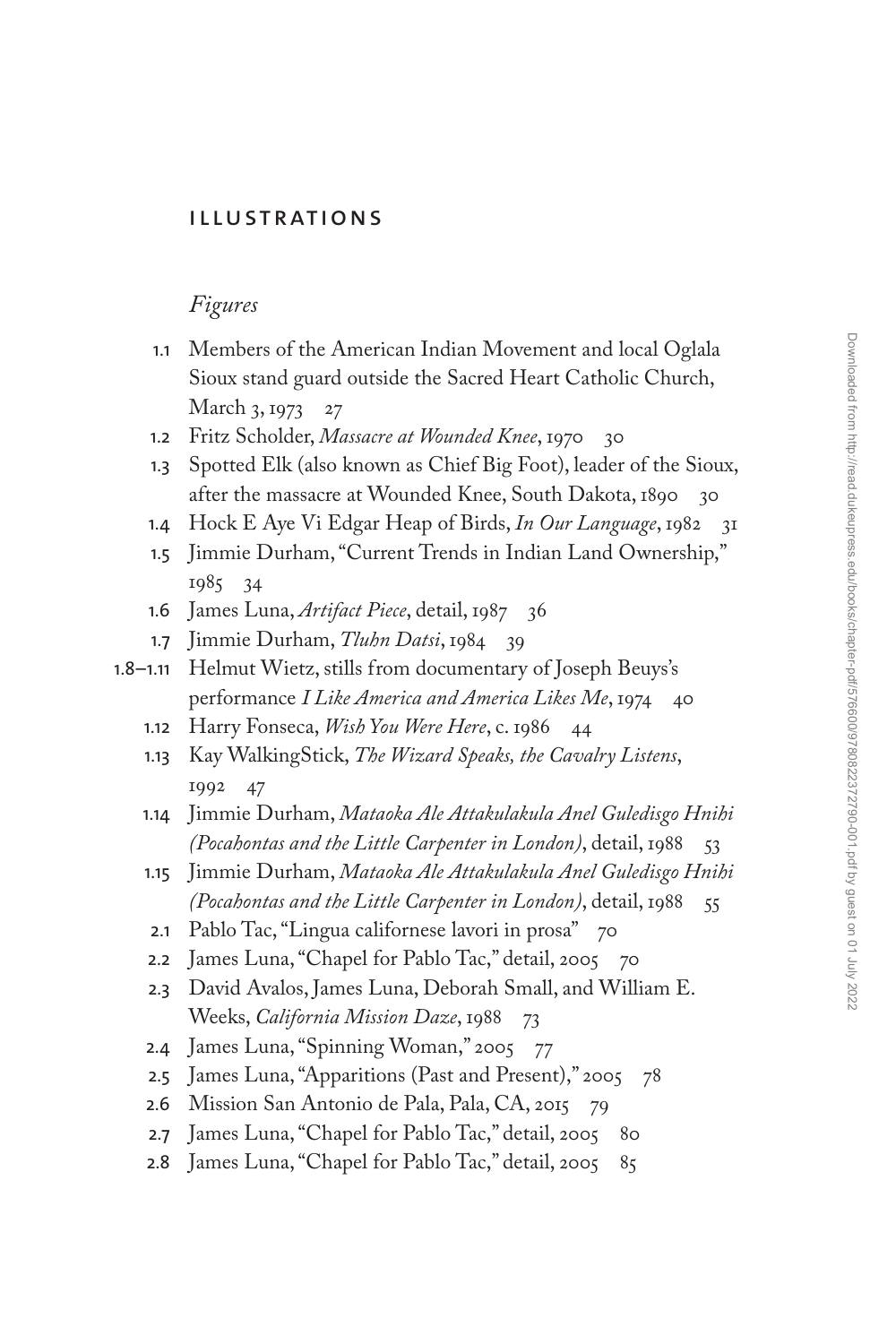## [Illustrations](#page--1-0)

## *Figures*

- 1.1 [Members of the American Indian Movement and local Oglala](#page--1-0)  Sioux stand guard outside the Sacred Heart Catholic Church, March 3, 1973 27
- [1.2](#page--1-0) Fritz Scholder, *[Massacre at Wounded Knee](#page--1-0)*, 1970 [30](#page--1-0)
- 1.3 [Spotted Elk \(also known as Chief Big Foot\), leader of the Sioux,](#page--1-0)  after the massacre at Wounded Knee, South Dakota, 1890 30
- [1.4](#page--1-0) [Hock E Aye Vi Edgar Heap of Birds,](#page--1-0) *In Our Language*, 1982 [31](#page--1-0)
- 1.5 [Jimmie Durham, "Current Trends in Indian Land Ownership,"](#page--1-0)  1985 34
- [1.6](#page--1-0) [James Luna,](#page--1-0) *Artifact Piece*, detail, 1987 [36](#page--1-0)
- [1.7](#page--1-0) [Jimmie Durham,](#page--1-0) *Tluhn Datsi*, 1984 [39](#page--1-0)
- 1.8–1.11 [Helmut Wietz, stills from documentary of Joseph Beuys's](#page--1-0)  performance *I Like America and America Likes Me*, 1974 40
	- [1.12](#page--1-0) Harry Fonseca, *[Wish You Were Here](#page--1-0)*, c. 1986 [44](#page--1-0)
	- 1.13 Kay WalkingStick, *[The Wizard Speaks, the Cavalry Listens](#page--1-0)*, 1992 47
	- 1.14 Jimmie Durham, *[Mataoka Ale Attakulakula Anel Guledisgo Hnihi](#page--1-0)  (Pocahontas and the Little Carpenter in London)*, detail, 1988 [53](#page--1-0)
	- 1.15 Jimmie Durham, *[Mataoka Ale Attakulakula Anel Guledisgo Hnihi](#page--1-0)  (Pocahontas and the Little Carpenter in London)*, detail, 1988 55
	- [2.1](#page--1-0) [Pablo Tac, "Lingua californese lavori in prosa"](#page--1-0) 70
	- [2.2](#page--1-0) [James Luna, "Chapel for Pablo Tac," detail, 2005](#page--1-0) [70](#page--1-0)
	- 2.3 [David Avalos, James Luna, Deborah Small, and William E.](#page--1-0)  Weeks, *California Mission Daze*, 1988 73
	- [2.4](#page--1-0) [James Luna, "Spinning Woman," 2005](#page--1-0) [77](#page--1-0)
	- [2.5](#page--1-0) [James Luna, "Apparitions \(Past and Present\)," 2005](#page--1-0) [78](#page--1-0)
	- [2.6](#page--1-0) [Mission San Antonio de Pala, Pala, CA, 2015](#page--1-0) [79](#page--1-0)
	- [2.7](#page--1-0) [James Luna, "Chapel for Pablo Tac," detail, 2005](#page--1-0) [80](#page--1-0)
	- [2.8](#page--1-0) [James Luna, "Chapel for Pablo Tac," detail, 2005](#page--1-0) [85](#page--1-0)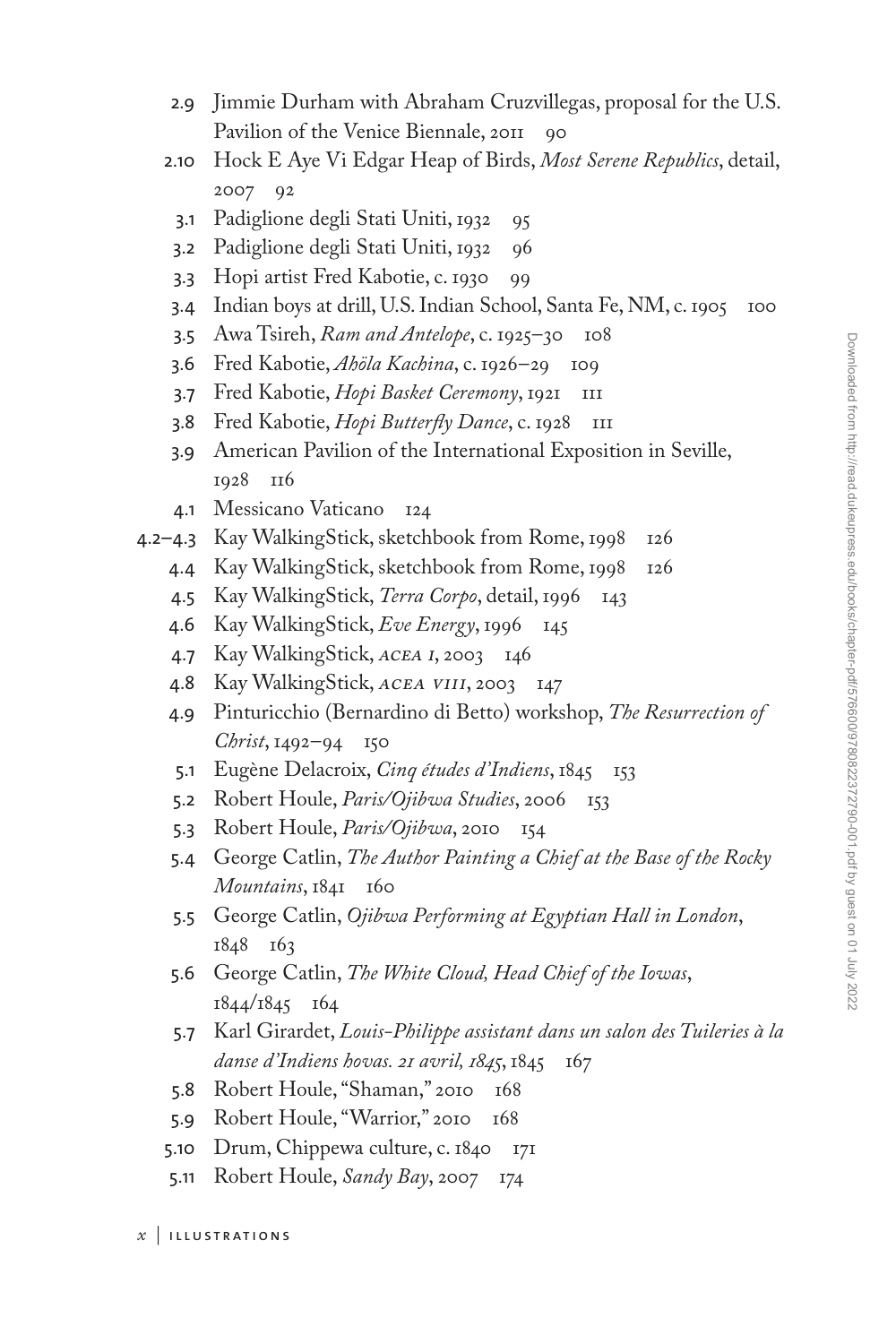- 2.9 [Jimmie Durham with Abraham Cruzvillegas, proposal for the U.S.](#page--1-0)  Pavilion of the Venice Biennale, 2011 90
- 2.10 [Hock E Aye Vi Edgar Heap of Birds,](#page--1-0) *Most Serene Republics*, detail, 2007 92
	- [3.1](#page--1-0) [Padiglione degli Stati Uniti, 1932](#page--1-0) [95](#page--1-0)
- [3.2](#page--1-0) [Padiglione degli Stati Uniti, 1932](#page--1-0) [96](#page--1-0)
- [3.3](#page--1-0) [Hopi artist Fred Kabotie, c. 1930](#page--1-0) [99](#page--1-0)
- [3.4](#page--1-0) [Indian boys at drill, U.S. Indian School, Santa Fe, NM, c. 1905](#page--1-0) [100](#page--1-0)
- [3.5](#page--1-0) Awa Tsireh, *[Ram and Antelope](#page--1-0)*, c. 1925–30 [108](#page--1-0)
- [3.6](#page--1-0) [Fred Kabotie,](#page--1-0) *Ahöla Kachina*, c. 1926–29 [109](#page--1-0)
- [3.7](#page--1-0) Fred Kabotie, *[Hopi Basket Ceremony](#page--1-0)*, 1921 III
- [3.8](#page--1-0) Fred Kabotie, *[Hopi Butterfly Dance](#page--1-0)*, c. 1928 III
- 3.9 [American Pavilion of the International Exposition in Seville,](#page--1-0)  1928 116
- [4.1](#page--1-0) [Messicano Vaticano](#page--1-0) [124](#page--1-0)
- [4.2–4.3](#page--1-0) [Kay WalkingStick, sketchbook from Rome, 1998](#page--1-0) [126](#page--1-0)
	- [4.4](#page--1-0) [Kay WalkingStick, sketchbook from Rome, 1998](#page--1-0) [126](#page--1-0)
	- [4.5](#page--1-0) [Kay WalkingStick,](#page--1-0) *Terra Corpo*, detail, 1996 [143](#page--1-0)
	- [4.6](#page--1-0) [Kay WalkingStick,](#page--1-0) *Eve Energy*, 1996 [145](#page--1-0)
	- [4.7](#page--1-0) [Kay WalkingStick,](#page--1-0) acea i, 2003 [146](#page--1-0)
	- [4.8](#page--1-0) [Kay WalkingStick,](#page--1-0) acea viii, 2003 [147](#page--1-0)
	- 4.9 [Pinturicchio \(Bernardino di Betto\) workshop,](#page--1-0) *The Resurrection of Christ*, 1492–94 150
	- [5.1](#page--1-0) Eugène Delacroix, *[Cinq études d'Indiens](#page--1-0)*, 1845 [153](#page--1-0)
	- [5.2](#page--1-0) Robert Houle, *[Paris/Ojibwa Studies](#page--1-0)*, 2006 [153](#page--1-0)
	- [5.3](#page--1-0) [Robert Houle,](#page--1-0) *Paris/Ojibwa*, 2010 [154](#page--1-0)
	- 5.4 George Catlin, *[The Author Painting a Chief at the Base of the Rocky](#page--1-0)  Mountains*, 1841 160
	- 5.5 George Catlin, *[Ojibwa Performing at Egyptian Hall in London](#page--1-0)*, 1848 163
	- 5.6 George Catlin, *[The White Cloud, Head Chief of the Iowas](#page--1-0)*, 1844/1845 164
	- 5.7 Karl Girardet, *[Louis-Philippe assistant dans un salon des Tuileries à la](#page--1-0)  danse d'Indiens hovas. 21 avril, 1845*, 1845 167
	- [5.8](#page--1-0) [Robert Houle, "Shaman," 2010](#page--1-0) [168](#page--1-0)
	- [5.9](#page--1-0) [Robert Houle, "Warrior," 2010](#page--1-0) [168](#page--1-0)
	- [5.10](#page--1-0) [Drum, Chippewa culture, c. 1840](#page--1-0) [171](#page--1-0)
	- [5.11](#page--1-0) [Robert Houle,](#page--1-0) *Sandy Bay*, 2007 [174](#page--1-0)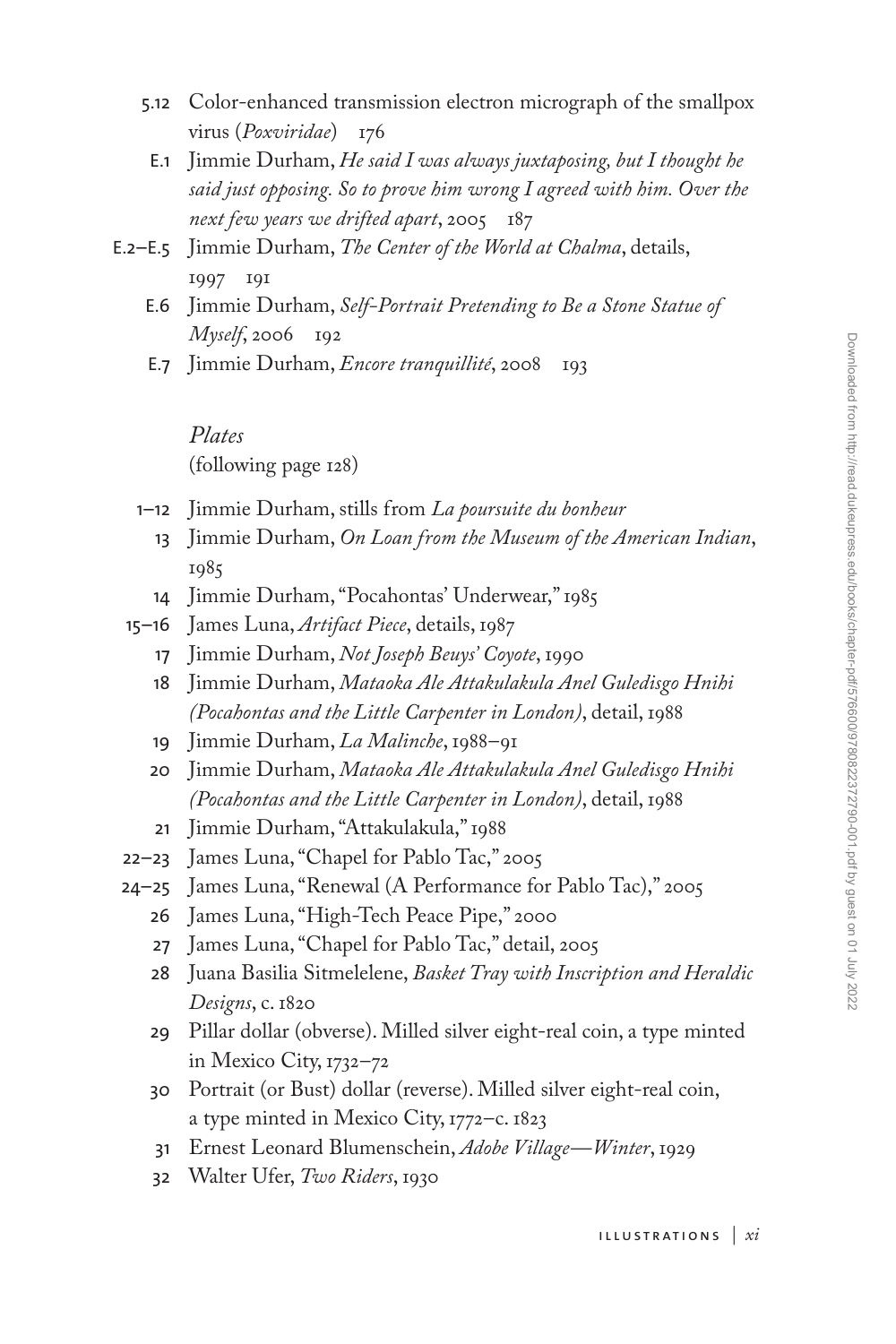- 5.12 [Color-enhanced transmission electron micrograph of the smallpox](#page--1-0)  virus (*Poxviridae*) [176](#page--1-0)
	- E.1 Jimmie Durham, *He said I was always juxtaposing, but I thought he [said just opposing. So to prove him wrong I agreed with him. Over the](#page--1-0)  next few years we drifted apart*, 2005 187
- E.2–E.5 Jimmie Durham, *[The Center of the World at Chalma](#page--1-0)*, details, 1997 191
	- E.6 Jimmie Durham, *[Self-Portrait Pretending to Be a Stone Statue of](#page--1-0)  Myself*, 2006 192
	- [E.7](#page--1-0) Jimmie Durham, *[Encore tranquillité](#page--1-0)*, 2008 [193](#page--1-0)

*Plates* (following page 128)

- 1–12 [Jimmie Durham, stills from](#page--1-0) *La poursuite du bonheur*
	- 13 Jimmie Durham, *[On Loan from the Museum of the American Indian](#page--1-0)*, 1985
	- 14 [Jimmie Durham, "Pocahontas' Underwear," 1985](#page--1-0)
- 15–16 [James Luna,](#page--1-0) *Artifact Piece*, details, 1987
	- 17 Jimmie Durham, *[Not Joseph Beuys' Coyote](#page--1-0)*, 1990
	- 18 Jimmie Durham, *[Mataoka Ale Attakulakula Anel Guledisgo Hnihi](#page--1-0)  (Pocahontas and the Little Carpenter in London)*, detail, 1988
	- 19 [Jimmie Durham,](#page--1-0) *La Malinche*, 1988–91
	- 20 Jimmie Durham, *[Mataoka Ale Attakulakula Anel Guledisgo Hnihi](#page--1-0)  (Pocahontas and the Little Carpenter in London)*, detail, 1988
	- 21 [Jimmie Durham, "Attakulakula," 1988](#page--1-0)
- 22–23 [James Luna, "Chapel for Pablo Tac," 2005](#page--1-0)
- 24–25 [James Luna, "Renewal \(A Performance for Pablo Tac\)," 2005](#page--1-0)
	- 26 [James Luna, "High-Tech Peace Pipe," 2000](#page--1-0)
	- 27 [James Luna, "Chapel for Pablo Tac," detail, 2005](#page--1-0)
	- 28 Juana Basilia Sitmelelene, *[Basket Tray with Inscription and Heraldic](#page--1-0)  Designs*, c. 1820
	- 29 [Pillar dollar \(obverse\). Milled silver eight-real coin, a type minted](#page--1-0)  in Mexico City, 1732–72
	- 30 [Portrait \(or Bust\) dollar \(reverse\). Milled silver eight-real coin,](#page--1-0) a type minted in Mexico City, 1772–c. 1823
	- 31 [Ernest Leonard Blumenschein,](#page--1-0) *Adobe Village—Winter*, 1929
	- 32 [Walter Ufer,](#page--1-0) *Two Riders*, 1930